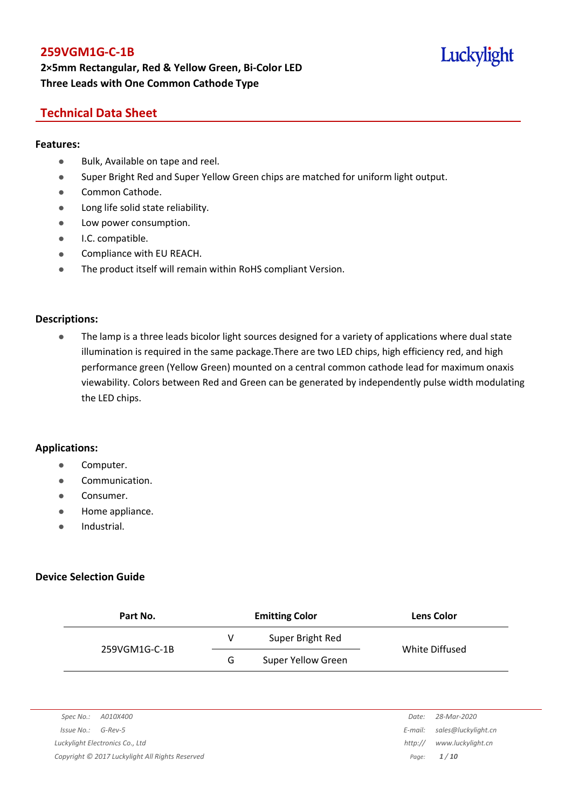# **2×5mm Rectangular, Red & Yellow Green, Bi-Color LED Three Leads with One Common Cathode Type**

# Luckylight

# **Technical Data Sheet**

#### **Features:**

- **Bulk, Available on tape and reel.**
- Super Bright Red and Super Yellow Green chips are matched for uniform light output.
- Common Cathode.
- **•** Long life solid state reliability.
- Low power consumption.
- **•** I.C. compatible.
- **•** Compliance with EU REACH.
- The product itself will remain within RoHS compliant Version.

#### **Descriptions:**

• The lamp is a three leads bicolor light sources designed for a variety of applications where dual state illumination is required in the same package.There are two LED chips, high efficiency red, and high performance green (Yellow Green) mounted on a central common cathode lead for maximum onaxis viewability. Colors between Red and Green can be generated by independently pulse width modulating the LED chips.

#### **Applications:**

- Computer.
- Communication.
- Consumer.
- Home appliance.
- **•** Industrial.

#### **Device Selection Guide**

| Part No.      |   | <b>Emitting Color</b>     | <b>Lens Color</b> |
|---------------|---|---------------------------|-------------------|
|               | v | Super Bright Red          | White Diffused    |
| 259VGM1G-C-1B | G | <b>Super Yellow Green</b> |                   |

|                      |                                                 | Date:   | 28-Mar-2020         |
|----------------------|-------------------------------------------------|---------|---------------------|
| $Issue No.: G-Rev-5$ |                                                 | E-mail: | sales@luckylight.cn |
|                      | Luckylight Electronics Co., Ltd                 | http:// | www.luckvliaht.cn   |
|                      | Copyright © 2017 Luckylight All Rights Reserved | Paae:   | 1/10                |

| Date:   | 28-Mar-2020         |
|---------|---------------------|
| :-mail: | sales@luckylight.cn |
| http:// | www.luckylight.cn   |
| Page:   | 1/10                |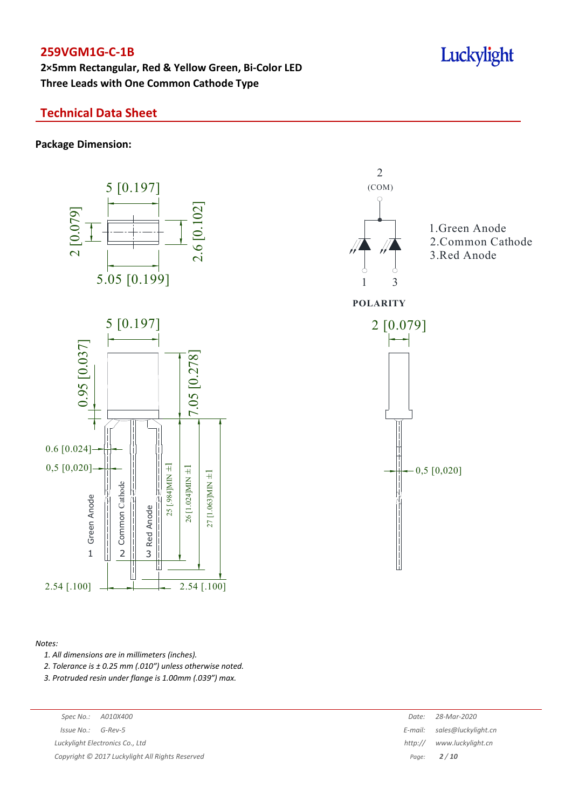**2×5mm Rectangular, Red & Yellow Green, Bi-Color LED Three Leads with One Common Cathode Type**

# **Technical Data Sheet**

**Package Dimension:**



#### *Notes:*

*1. All dimensions are in millimeters (inches).*

*2. Tolerance is ± 0.25 mm (.010″) unless otherwise noted.*

*3. Protruded resin under flange is 1.00mm (.039″) max.*

|  | Date: 28-Mar-2020 |
|--|-------------------|
|  | .                 |

*Issue No.: G-Rev-5 Luckylight Electronics Co., Ltd* 

*Copyright © 2017 Luckylight All Rights Reserved Page: 2 / 10*

| Date:      | 28-Mar-2020         |
|------------|---------------------|
|            |                     |
| $F$ -mail: | sales@luckylight.cn |
| http://    | www.luckylight.cn   |
| Page:      | 2/10                |
|            |                     |

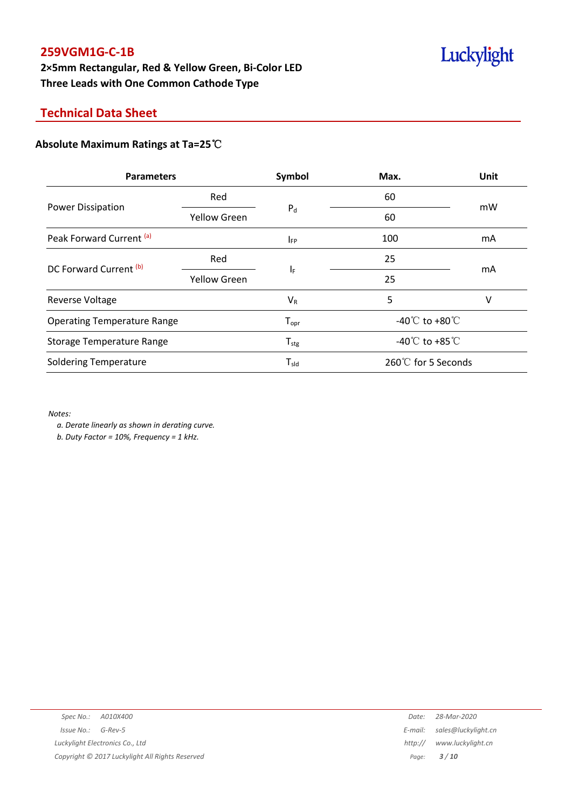# **2×5mm Rectangular, Red & Yellow Green, Bi-Color LED Three Leads with One Common Cathode Type**

# **Technical Data Sheet**

## **Absolute Maximum Ratings at Ta=25**℃

| <b>Parameters</b>                  |                     | Symbol           | Max.                                 | Unit |
|------------------------------------|---------------------|------------------|--------------------------------------|------|
|                                    | Red                 | $P_d$            | 60                                   |      |
| <b>Power Dissipation</b>           | <b>Yellow Green</b> |                  | 60                                   | mW   |
| Peak Forward Current (a)           |                     | $I_{FP}$         | 100                                  | mA   |
| DC Forward Current (b)             | Red                 | IF               | 25                                   |      |
|                                    | <b>Yellow Green</b> |                  | 25                                   | mA   |
| Reverse Voltage                    |                     | $V_R$            | 5                                    | ۷    |
| <b>Operating Temperature Range</b> |                     | $T_{\text{opr}}$ | -40 $^{\circ}$ C to +80 $^{\circ}$ C |      |
| <b>Storage Temperature Range</b>   |                     | $T_{\rm stg}$    | -40 $^{\circ}$ C to +85 $^{\circ}$ C |      |
| <b>Soldering Temperature</b>       |                     | $T_{sld}$        | 260℃ for 5 Seconds                   |      |

*Notes:*

*a. Derate linearly as shown in derating curve.*

*b. Duty Factor = 10%, Frequency = 1 kHz.*

|                      |                                                 | Date:   | 28-Mar-2020         |
|----------------------|-------------------------------------------------|---------|---------------------|
| $Issue No.: G-Rev-5$ |                                                 | E-mail: | sales@luckylight.cn |
|                      | Luckylight Electronics Co., Ltd                 | http:// | www.luckylight.cn   |
|                      | Copyright © 2017 Luckylight All Rights Reserved |         | Page: $3/10$        |
|                      |                                                 |         |                     |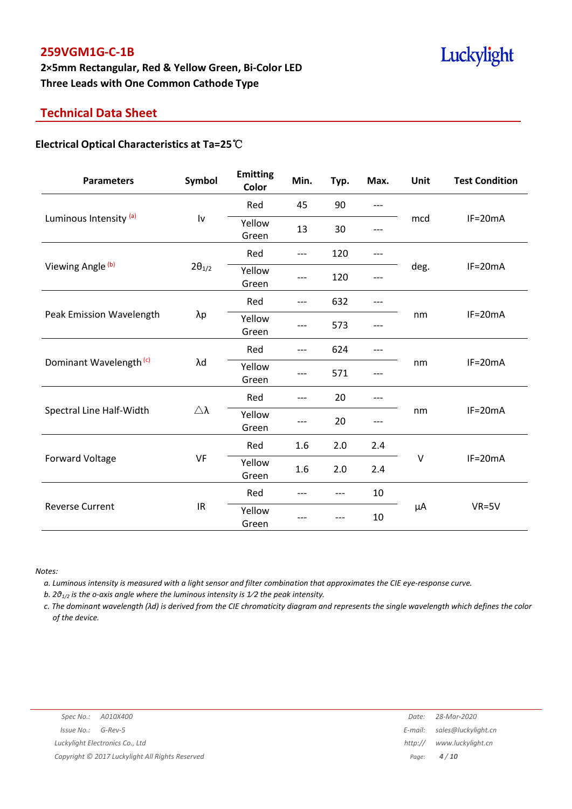# **2×5mm Rectangular, Red & Yellow Green, Bi-Color LED Three Leads with One Common Cathode Type**

# **Technical Data Sheet**

#### **Electrical Optical Characteristics at Ta=25**℃

| <b>Parameters</b>                 | Symbol                 | <b>Emitting</b><br>Color | Min.  | Typ.  | Max.  | Unit    | <b>Test Condition</b> |
|-----------------------------------|------------------------|--------------------------|-------|-------|-------|---------|-----------------------|
|                                   |                        | Red                      | 45    | 90    | $---$ |         | $IF=20mA$             |
| Luminous Intensity <sup>(a)</sup> | $\mathsf{I}\mathsf{v}$ | Yellow<br>Green          | 13    | 30    |       | mcd     |                       |
|                                   |                        | Red                      | $---$ | 120   | ---   |         |                       |
| Viewing Angle (b)                 | $2\theta_{1/2}$        | Yellow<br>Green          | ---   | 120   |       | deg.    | $IF=20mA$             |
|                                   |                        | Red                      | $---$ | 632   | ---   |         | $IF=20mA$             |
| Peak Emission Wavelength          | $\lambda p$            | Yellow<br>Green          | ---   | 573   |       | nm      |                       |
| Dominant Wavelength (c)           | λd                     | Red                      | $---$ | 624   | ---   | nm      | $IF=20mA$             |
|                                   |                        | Yellow<br>Green          | ---   | 571   |       |         |                       |
|                                   |                        | Red                      | $---$ | 20    | ---   |         | $IF=20mA$             |
| Spectral Line Half-Width          | Δλ                     | Yellow<br>Green          |       | 20    |       | nm      |                       |
|                                   |                        | Red                      | 1.6   | 2.0   | 2.4   |         | $IF=20mA$             |
| <b>Forward Voltage</b>            | VF                     | Yellow<br>Green          | 1.6   | 2.0   | 2.4   | $\vee$  |                       |
|                                   |                        | Red                      | ---   | $---$ | 10    | $\mu A$ | $VR = 5V$             |
| <b>Reverse Current</b>            | IR                     | Yellow<br>Green          |       |       | 10    |         |                       |

*Notes:*

a. Luminous intensity is measured with a light sensor and filter combination that approximates the CIE eye-response curve.

*b. 2θ1/2 is the o-axis angle where the luminous intensity is 1⁄2 the peak intensity.*

c. The dominant wavelength ( $\lambda$ d) is derived from the CIE chromaticity diagram and represents the single wavelength which defines the color *of the device.*

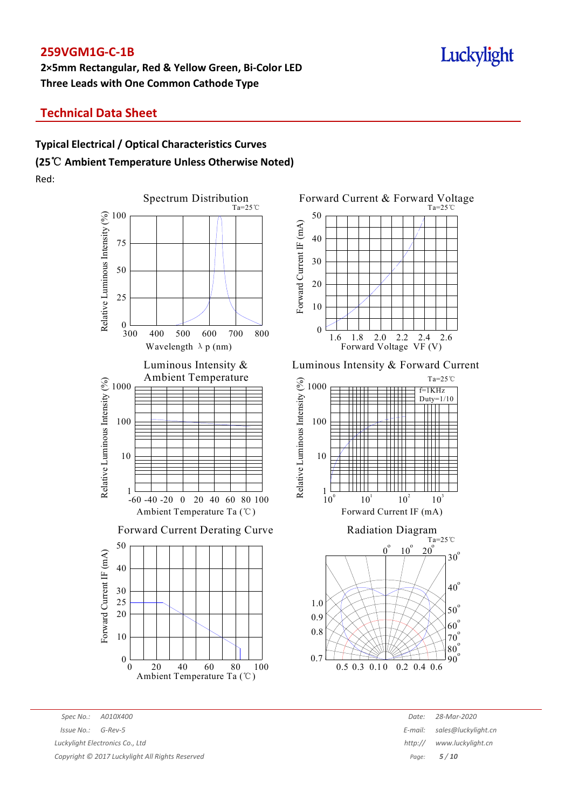# **2×5mm Rectangular, Red & Yellow Green, Bi-Color LED Three Leads with One Common Cathode Type**

# Luckylight

# **Technical Data Sheet**

# **Typical Electrical / Optical Characteristics Curves (25**℃ **Ambient Temperature Unless Otherwise Noted)** Red:





#### Luminous Intensity & Forward Current





*Spec No.: A010X400 Date: 28-Mar-2020 Issue No.: G-Rev-5 E-mail: sales@luckylight.cn Luckylight Electronics Co., Ltd http:// www.luckylight.cn*

*Copyright © 2017 Luckylight All Rights Reserved Page: 5 / 10*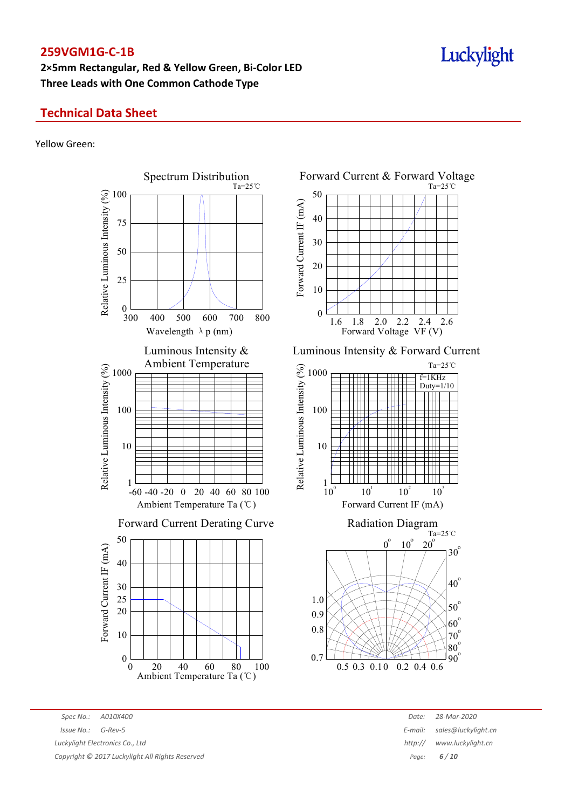# **2×5mm Rectangular, Red & Yellow Green, Bi-Color LED Three Leads with One Common Cathode Type**

# **Technical Data Sheet**

#### Yellow Green:



*Spec No.: A010X400 Date: 28-Mar-2020*  $90^{\circ}$ 

 $10^2$ 

 $10^{\circ}$ 

 $10<sup>3</sup>$ 

 $Ta=25^\circ \text{C}$ 

 $30^{\circ}$ 

 $40^{\circ}$ 

 $50^\circ$  $60^{\circ}$  $70^\circ$  $80^\circ$ 

 $20^{\circ}$ 

f=1KHz Duty=1/10

Ta=25℃

2.6

Ta=25℃

# *Issue No.: G-Rev-5 E-mail: sales@luckylight.cn Luckylight Electronics Co., Ltd http:// www.luckylight.cn Copyright © 2017 Luckylight All Rights Reserved Page: 6 / 10*

Luckylight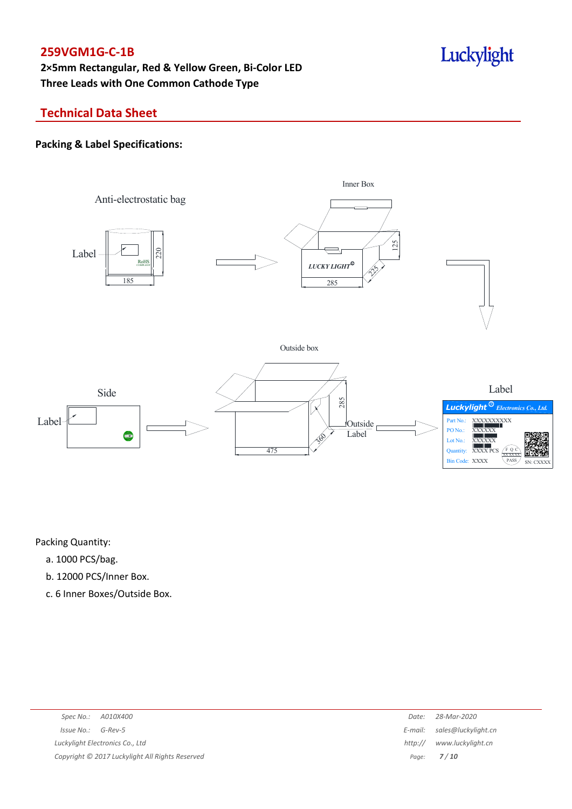**2×5mm Rectangular, Red & Yellow Green, Bi-Color LED Three Leads with One Common Cathode Type**

# Luckylight

# **Technical Data Sheet**

#### **Packing & Label Specifications:**



Packing Quantity:

- a. 1000 PCS/bag.
- b. 12000 PCS/Inner Box.
- c. 6 Inner Boxes/Outside Box.

| Spec No.: A010X400                              | Date:   | 28-Mar-2020                 |
|-------------------------------------------------|---------|-----------------------------|
| Issue No.:<br>G-Rev-5                           |         | E-mail: sales@luckylight.cn |
| Luckylight Electronics Co., Ltd                 | http:// | www.luckylight.cn           |
| Copyright © 2017 Luckylight All Rights Reserved |         | Page: <b>7/10</b>           |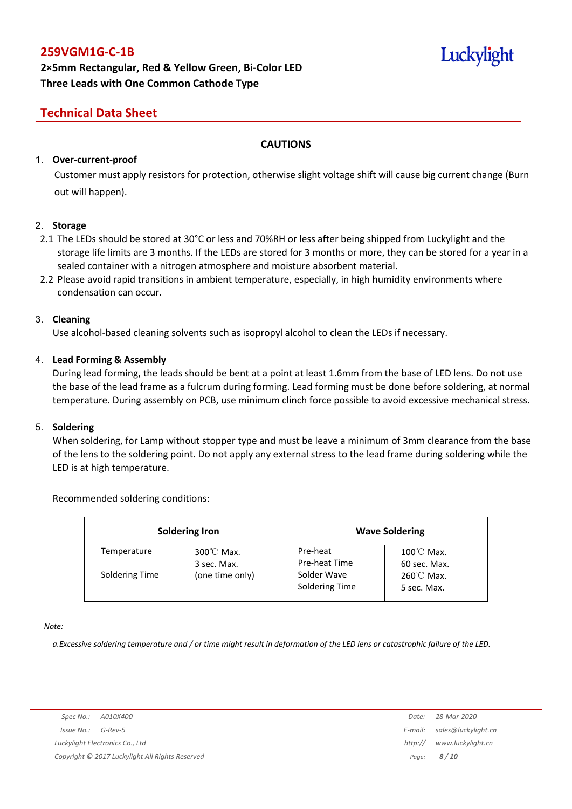# **2×5mm Rectangular, Red & Yellow Green, Bi-Color LED Three Leads with One Common Cathode Type**

# Luckylight

# **Technical Data Sheet**

#### **CAUTIONS**

#### 1. **Over-current-proof**

Customer must apply resistors for protection, otherwise slight voltage shift will cause big current change (Burn out will happen).

#### 2. **Storage**

- 2.1 The LEDs should be stored at 30°C or less and 70%RH or less after being shipped from Luckylight and the storage life limits are 3 months. If the LEDs are stored for 3 months or more, they can be stored for a year in a sealed container with a nitrogen atmosphere and moisture absorbent material.
- 2.2 Please avoid rapid transitions in ambient temperature, especially, in high humidity environments where condensation can occur.

#### 3. **Cleaning**

Use alcohol-based cleaning solvents such as isopropyl alcohol to clean the LEDs if necessary.

#### 4. **Lead Forming & Assembly**

During lead forming, the leads should be bent at a point at least 1.6mm from the base of LED lens. Do not use the base of the lead frame as a fulcrum during forming. Lead forming must be done before soldering, at normal temperature. During assembly on PCB, use minimum clinch force possible to avoid excessive mechanical stress.

#### 5. **Soldering**

When soldering, for Lamp without stopper type and must be leave a minimum of 3mm clearance from the base of the lens to the soldering point. Do not apply any external stress to the lead frame during soldering while the LED is at high temperature.

#### Recommended soldering conditions:

| <b>Soldering Iron</b> |                                     | <b>Wave Soldering</b>         |                                      |  |
|-----------------------|-------------------------------------|-------------------------------|--------------------------------------|--|
| Temperature           | $300^{\circ}$ C Max.<br>3 sec. Max. | Pre-heat<br>Pre-heat Time     | $100^{\circ}$ C Max.<br>60 sec. Max. |  |
| Soldering Time        | (one time only)                     | Solder Wave<br>Soldering Time | $260^{\circ}$ C Max.<br>5 sec. Max.  |  |

*Note:*

a. Excessive soldering temperature and / or time might result in deformation of the LED lens or catastrophic failure of the LED.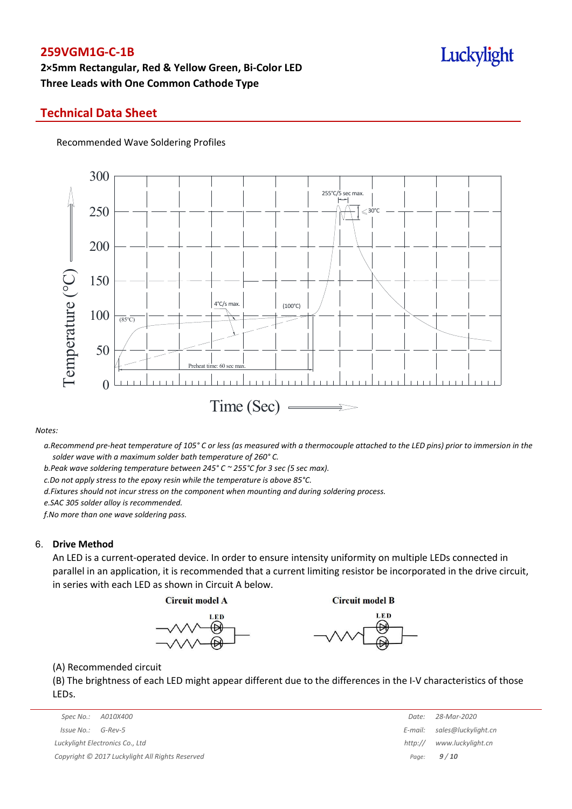# **2×5mm Rectangular, Red & Yellow Green, Bi-Color LED Three Leads with One Common Cathode Type**

### **Technical Data Sheet**

Recommended Wave Soldering Profiles



*Notes:*

a. Recommend pre-heat temperature of 105° C or less (as measured with a thermocouple attached to the LED pins) prior to immersion in the *solder wave with a maximum solder bath temperature of 260° C.*

*b.Peak wave soldering temperature between 245° C ~ 255°C for 3 sec (5 sec max).*

*c.Do not apply stress to the epoxy resin while the temperature is above 85°C.*

*d.Fixtures should not incur stress on the component when mounting and during soldering process.*

*e.SAC 305 solder alloy is recommended.*

*f.No more than one wave soldering pass.*

#### 6. **Drive Method**

An LED is a current-operated device. In order to ensure intensity uniformity on multiple LEDs connected in parallel in an application, it is recommended that a current limiting resistor be incorporated in the drive circuit, in series with each LED as shown in Circuit A below.

**Circuit model A** 

**Circuit model B** 





(A) Recommended circuit

(B) The brightness of each LED might appear different due to the differences in the I-V characteristics of those LEDs.

| $JUUUIIIUII$ $JUUIIUII$                         | . | LU IVIUI LULU               |
|-------------------------------------------------|---|-----------------------------|
| $Issue No.: G-Rev-5$                            |   | E-mail: sales@luckylight.cn |
| Luckyliaht Electronics Co., Ltd                 |   | http:// www.luckylight.cn   |
| Copyright © 2017 Luckylight All Rights Reserved |   | Page: $9/10$                |

| Spec No.:<br>A010X400                         | Date:   | 28-Mar-2020                 |
|-----------------------------------------------|---------|-----------------------------|
| 'ssue No.:<br>G-Rev-5                         |         | E-mail: sales@luckylight.cn |
| ckylight Electronics Co., Ltd                 | http:// | www.luckylight.cn           |
| pyright © 2017 Luckylight All Rights Reserved |         | Page: $9/10$                |